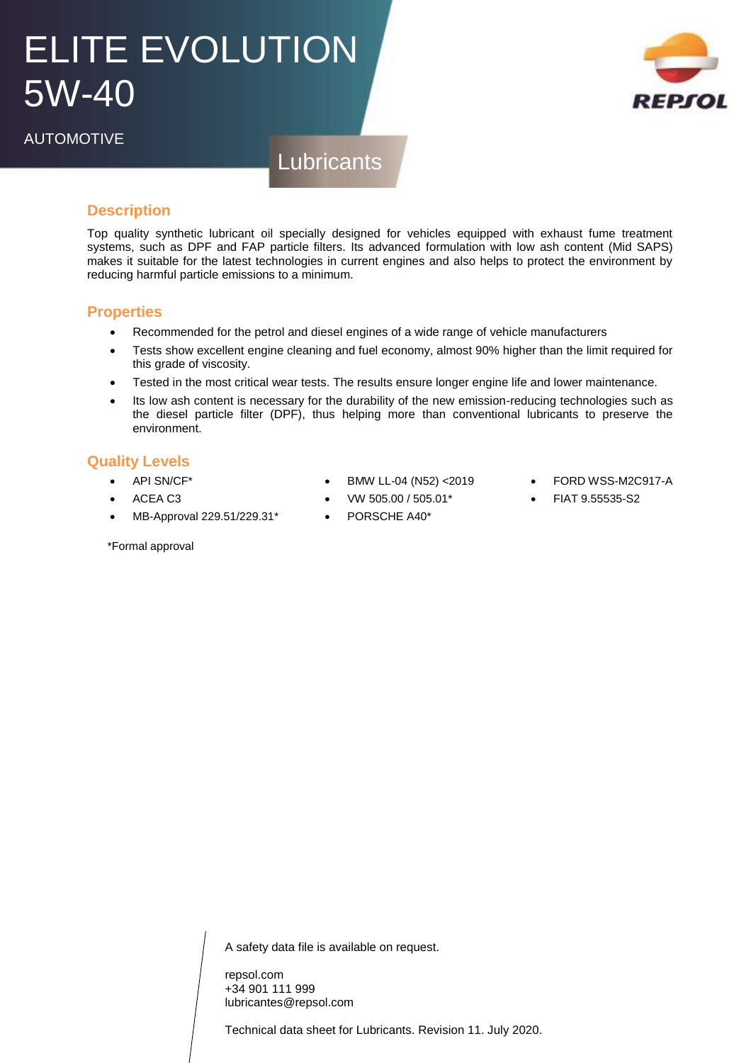# ELITE EVOLUTION 5W-40



AUTOMOTIVE

**Lubricants** 

### **Description**

Top quality synthetic lubricant oil specially designed for vehicles equipped with exhaust fume treatment systems, such as DPF and FAP particle filters. Its advanced formulation with low ash content (Mid SAPS) makes it suitable for the latest technologies in current engines and also helps to protect the environment by reducing harmful particle emissions to a minimum.

#### **Properties**

- Recommended for the petrol and diesel engines of a wide range of vehicle manufacturers
- Tests show excellent engine cleaning and fuel economy, almost 90% higher than the limit required for this grade of viscosity.
- Tested in the most critical wear tests. The results ensure longer engine life and lower maintenance.
- Its low ash content is necessary for the durability of the new emission-reducing technologies such as the diesel particle filter (DPF), thus helping more than conventional lubricants to preserve the environment.

#### **Quality Levels**

API SN/CF\*

\*Formal approval

- ACEA C3
- MB-Approval 229.51/229.31\*
- BMW LL-04 (N52) <2019
	- VW 505.00 / 505.01\*
	- PORSCHE A40\*
- FORD WSS-M2C917-A
- FIAT 9.55535-S2

A safety data file is available on request.

repsol.com +34 901 111 999 lubricantes@repsol.com

Technical data sheet for Lubricants. Revision 11. July 2020.